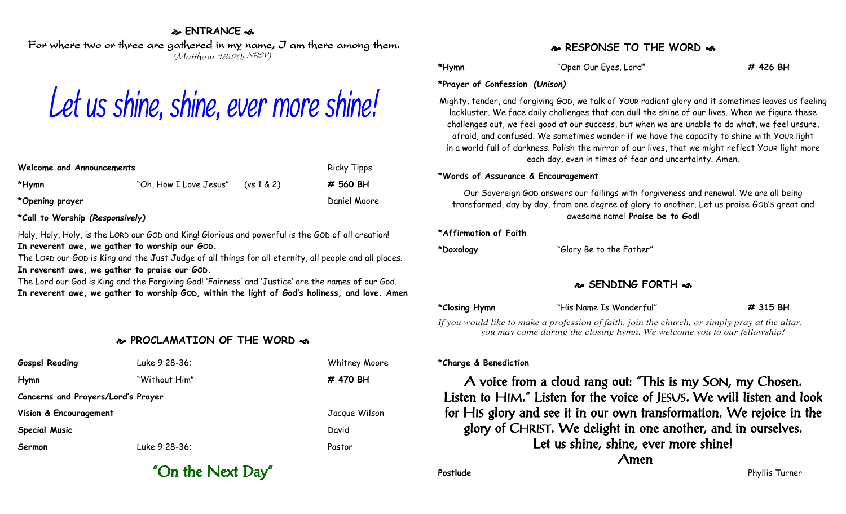## **ENTRANCE**

For where two or three are gathered in my name, I am there among them. (Matthew 18:20; NRSV)

# Let us shine, shine, ever more shine!

| Welcome and Announcements | <b>Ricky Tipps</b>     |           |              |
|---------------------------|------------------------|-----------|--------------|
| *Hymn                     | "Oh, How I Love Jesus" | (ys1 & 2) | # 560 BH     |
| *Opening prayer           |                        |           | Daniel Moore |

**\*Call to Worship** *(Responsively)*

Holy, Holy, Holy, is the LORD our GOD and King! Glorious and powerful is the GOD of all creation! **In reverent awe, we gather to worship our GOD.**

The LORD our GOD is King and the Just Judge of all things for all eternity, all people and all places. **In reverent awe, we gather to praise our GOD.**

The Lord our God is King and the Forgiving God! 'Fairness' and 'Justice' are the names of our God. **In reverent awe, we gather to worship GOD, within the light of God's holiness, and love. Amen**

## **PROCLAMATION OF THE WORD**

| <b>Gospel Reading</b>              | Luke 9:28-36; | Whitney Moore |  |  |  |  |
|------------------------------------|---------------|---------------|--|--|--|--|
| Hymn                               | "Without Him" | # 470 BH      |  |  |  |  |
| Concerns and Prayers/Lord's Prayer |               |               |  |  |  |  |
| Vision & Encouragement             |               | Jacque Wilson |  |  |  |  |
| <b>Special Music</b>               |               | David         |  |  |  |  |
| Sermon                             | Luke 9:28-36; | Pastor        |  |  |  |  |

## **RESPONSE TO THE WORD**

**\*Hymn** "Open Our Eyes, Lord" **# 426 BH**

#### **\*Prayer of Confession** *(Unison)*

Mighty, tender, and forgiving GOD, we talk of YOUR radiant glory and it sometimes leaves us feeling lackluster. We face daily challenges that can dull the shine of our lives. When we figure these challenges out, we feel good at our success, but when we are unable to do what, we feel unsure, afraid, and confused. We sometimes wonder if we have the capacity to shine with YOUR light in a world full of darkness. Polish the mirror of our lives, that we might reflect YOUR light more each day, even in times of fear and uncertainty. Amen.

#### **\*Words of Assurance & Encouragement**

Our Sovereign GOD answers our failings with forgiveness and renewal. We are all being transformed, day by day, from one degree of glory to another. Let us praise GOD'S great and awesome name! **Praise be to God!**

#### **\*Affirmation of Faith**

**\*Doxology** "Glory Be to the Father"

# **SENDING FORTH**

**\*Closing Hymn** "His Name Is Wonderful" **# 315 BH**

*If you would like to make a profession of faith, join the church, or simply pray at the altar, you may come during the closing hymn. We welcome you to our fellowship!*

### **\*Charge & Benediction**

A voice from a cloud rang out: "This is my SON, my Chosen. Listen to HIM." Listen for the voice of JESUS. We will listen and look for HIS glory and see it in our own transformation. We rejoice in the glory of CHRIST. We delight in one another, and in ourselves. Let us shine, shine, ever more shine! Amen

"On the Next Day"

**Postlude** Phyllis Turner